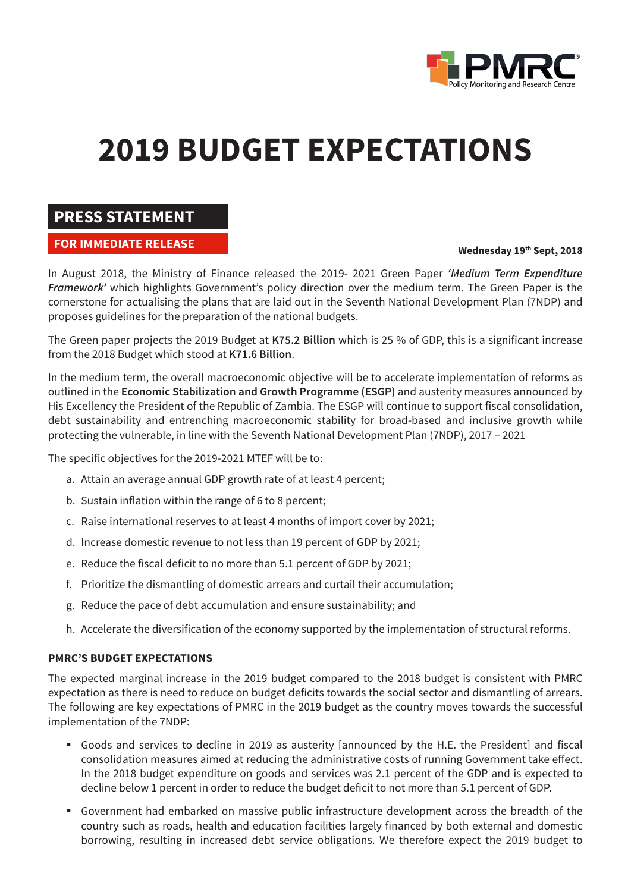

# **2019 BUDGET EXPECTATIONS**

## **PRESS STATEMENT**

### **FOR IMMEDIATE RELEASE**

#### **Wednesday 19th Sept, 2018**

In August 2018, the Ministry of Finance released the 2019- 2021 Green Paper *'Medium Term Expenditure Framework'* which highlights Government's policy direction over the medium term. The Green Paper is the cornerstone for actualising the plans that are laid out in the Seventh National Development Plan (7NDP) and proposes guidelines for the preparation of the national budgets.

The Green paper projects the 2019 Budget at **K75.2 Billion** which is 25 % of GDP, this is a significant increase from the 2018 Budget which stood at **K71.6 Billion**.

In the medium term, the overall macroeconomic objective will be to accelerate implementation of reforms as outlined in the **Economic Stabilization and Growth Programme (ESGP)** and austerity measures announced by His Excellency the President of the Republic of Zambia. The ESGP will continue to support fiscal consolidation, debt sustainability and entrenching macroeconomic stability for broad-based and inclusive growth while protecting the vulnerable, in line with the Seventh National Development Plan (7NDP), 2017 – 2021

The specific objectives for the 2019-2021 MTEF will be to:

- a. Attain an average annual GDP growth rate of at least 4 percent;
- b. Sustain inflation within the range of 6 to 8 percent;
- c. Raise international reserves to at least 4 months of import cover by 2021;
- d. Increase domestic revenue to not less than 19 percent of GDP by 2021;
- e. Reduce the fiscal deficit to no more than 5.1 percent of GDP by 2021;
- f. Prioritize the dismantling of domestic arrears and curtail their accumulation;
- g. Reduce the pace of debt accumulation and ensure sustainability; and
- h. Accelerate the diversification of the economy supported by the implementation of structural reforms.

#### **PMRC'S BUDGET EXPECTATIONS**

The expected marginal increase in the 2019 budget compared to the 2018 budget is consistent with PMRC expectation as there is need to reduce on budget deficits towards the social sector and dismantling of arrears. The following are key expectations of PMRC in the 2019 budget as the country moves towards the successful implementation of the 7NDP:

- § Goods and services to decline in 2019 as austerity [announced by the H.E. the President] and fiscal consolidation measures aimed at reducing the administrative costs of running Government take effect. In the 2018 budget expenditure on goods and services was 2.1 percent of the GDP and is expected to decline below 1 percent in order to reduce the budget deficit to not more than 5.1 percent of GDP.
- § Government had embarked on massive public infrastructure development across the breadth of the country such as roads, health and education facilities largely financed by both external and domestic borrowing, resulting in increased debt service obligations. We therefore expect the 2019 budget to